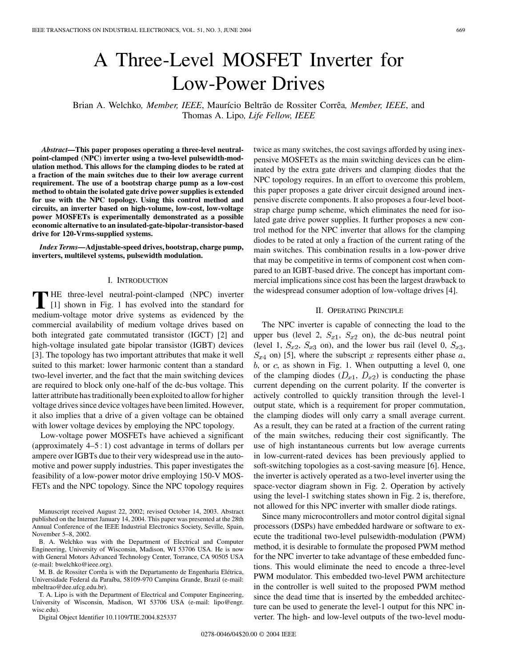# A Three-Level MOSFET Inverter for Low-Power Drives

Brian A. Welchko*, Member, IEEE*, Maurício Beltrão de Rossiter Corrêa*, Member, IEEE*, and Thomas A. Lipo*, Life Fellow, IEEE*

*Abstract—***This paper proposes operating a three-level neutralpoint-clamped (NPC) inverter using a two-level pulsewidth-modulation method. This allows for the clamping diodes to be rated at a fraction of the main switches due to their low average current requirement. The use of a bootstrap charge pump as a low-cost method to obtain the isolated gate drive power supplies is extended for use with the NPC topology. Using this control method and circuits, an inverter based on high-volume, low-cost, low-voltage power MOSFETs is experimentally demonstrated as a possible economic alternative to an insulated-gate-bipolar-transistor-based drive for 120-Vrms-supplied systems.**

*Index Terms—***Adjustable-speed drives, bootstrap, charge pump, inverters, multilevel systems, pulsewidth modulation.**

#### I. INTRODUCTION

**T** HE three-level neutral-point-clamped (NPC) inverter<br> [\[1](#page-5-0)] shown in Fig. 1 has evolved into the standard for medium-voltage motor drive systems as evidenced by the commercial availability of medium voltage drives based on both integrated gate commutated transistor (IGCT) [\[2](#page-5-0)] and high-voltage insulated gate bipolar transistor (IGBT) devices [\[3](#page-5-0)]. The topology has two important attributes that make it well suited to this market: lower harmonic content than a standard two-level inverter, and the fact that the main switching devices are required to block only one-half of the dc-bus voltage. This latter attribute has traditionally been exploited to allow for higher voltage drives since device voltages have been limited. However, it also implies that a drive of a given voltage can be obtained with lower voltage devices by employing the NPC topology.

Low-voltage power MOSFETs have achieved a significant (approximately 4–5 : 1) cost advantage in terms of dollars per ampere over IGBTs due to their very widespread use in the automotive and power supply industries. This paper investigates the feasibility of a low-power motor drive employing 150-V MOS-FETs and the NPC topology. Since the NPC topology requires

Manuscript received August 22, 2002; revised October 14, 2003. Abstract published on the Internet January 14, 2004. This paper was presented at the 28th Annual Conference of the IEEE Industrial Electronics Society, Seville, Spain, November 5–8, 2002.

B. A. Welchko was with the Department of Electrical and Computer Engineering, University of Wisconsin, Madison, WI 53706 USA. He is now with General Motors Advanced Technology Center, Torrance, CA 90505 USA (e-mail: bwelchko@ieee.org).

M. B. de Rossiter Corrêa is with the Departamento de Engenharia Elétrica, Universidade Federal da Paraíba, 58109-970 Campina Grande, Brazil (e-mail: mbeltrao@dee.ufcg.edu.br).

T. A. Lipo is with the Department of Electrical and Computer Engineering, University of Wisconsin, Madison, WI 53706 USA (e-mail: lipo@engr. wisc.edu).

Digital Object Identifier 10.1109/TIE.2004.825337

twice as many switches, the cost savings afforded by using inexpensive MOSFETs as the main switching devices can be eliminated by the extra gate drivers and clamping diodes that the NPC topology requires. In an effort to overcome this problem, this paper proposes a gate driver circuit designed around inexpensive discrete components. It also proposes a four-level bootstrap charge pump scheme, which eliminates the need for isolated gate drive power supplies. It further proposes a new control method for the NPC inverter that allows for the clamping diodes to be rated at only a fraction of the current rating of the main switches. This combination results in a low-power drive that may be competitive in terms of component cost when compared to an IGBT-based drive. The concept has important commercial implications since cost has been the largest drawback to the widespread consumer adoption of low-voltage drives [[4\]](#page-5-0).

## II. OPERATING PRINCIPLE

The NPC inverter is capable of connecting the load to the upper bus (level 2,  $S_{x1}$ ,  $S_{x2}$  on), the dc-bus neutral point (level 1,  $S_{x2}$ ,  $S_{x3}$  on), and the lower bus rail (level 0,  $S_{x3}$ ,  $S_{x4}$  on) [\[5](#page-5-0)], where the subscript x represents either phase a,  $b$ , or  $c$ , as shown in Fig. 1. When outputting a level 0, one of the clamping diodes  $(D_{x1}, D_{x2})$  is conducting the phase current depending on the current polarity. If the converter is actively controlled to quickly transition through the level-1 output state, which is a requirement for proper commutation, the clamping diodes will only carry a small average current. As a result, they can be rated at a fraction of the current rating of the main switches, reducing their cost significantly. The use of high instantaneous currents but low average currents in low-current-rated devices has been previously applied to soft-switching topologies as a cost-saving measure [[6\]](#page-5-0). Hence, the inverter is actively operated as a two-level inverter using the space-vector diagram shown in Fig. 2. Operation by actively using the level-1 switching states shown in Fig. 2 is, therefore, not allowed for this NPC inverter with smaller diode ratings.

Since many microcontrollers and motor control digital signal processors (DSPs) have embedded hardware or software to execute the traditional two-level pulsewidth-modulation (PWM) method, it is desirable to formulate the proposed PWM method for the NPC inverter to take advantage of these embedded functions. This would eliminate the need to encode a three-level PWM modulator. This embedded two-level PWM architecture in the controller is well suited to the proposed PWM method since the dead time that is inserted by the embedded architecture can be used to generate the level-1 output for this NPC inverter. The high- and low-level outputs of the two-level modu-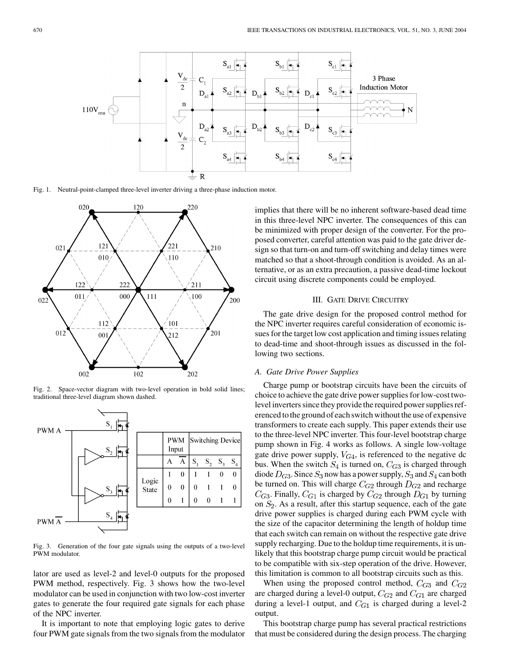

Fig. 1. Neutral-point-clamped three-level inverter driving a three-phase induction motor.



Fig. 2. Space-vector diagram with two-level operation in bold solid lines; traditional three-level diagram shown dashed.



Fig. 3. Generation of the four gate signals using the outputs of a two-level PWM modulator.

lator are used as level-2 and level-0 outputs for the proposed PWM method, respectively. Fig. 3 shows how the two-level modulator can be used in conjunction with two low-cost inverter gates to generate the four required gate signals for each phase of the NPC inverter.

It is important to note that employing logic gates to derive four PWM gate signals from the two signals from the modulator implies that there will be no inherent software-based dead time in this three-level NPC inverter. The consequences of this can be minimized with proper design of the converter. For the proposed converter, careful attention was paid to the gate driver design so that turn-on and turn-off switching and delay times were matched so that a shoot-through condition is avoided. As an alternative, or as an extra precaution, a passive dead-time lockout circuit using discrete components could be employed.

## III. GATE DRIVE CIRCUITRY

The gate drive design for the proposed control method for the NPC inverter requires careful consideration of economic issues for the target low cost application and timing issues relating to dead-time and shoot-through issues as discussed in the following two sections.

## *A. Gate Drive Power Supplies*

Charge pump or bootstrap circuits have been the circuits of choice to achieve the gate drive power supplies for low-cost twolevel inverters since they provide the required power supplies referenced to the ground of each switch without the use of expensive transformers to create each supply. This paper extends their use to the three-level NPC inverter. This four-level bootstrap charge pump shown in Fig. 4 works as follows. A single low-voltage gate drive power supply,  $V_{G4}$ , is referenced to the negative dc bus. When the switch  $S_4$  is turned on,  $C_{G3}$  is charged through diode  $D_{G3}$ . Since  $S_3$  now has a power supply,  $S_3$  and  $S_4$  can both be turned on. This will charge  $C_{G2}$  through  $D_{G2}$  and recharge  $C_{G3}$ . Finally,  $C_{G1}$  is charged by  $C_{G2}$  through  $D_{G1}$  by turning on  $S_2$ . As a result, after this startup sequence, each of the gate drive power supplies is charged during each PWM cycle with the size of the capacitor determining the length of holdup time that each switch can remain on without the respective gate drive supply recharging. Due to the holdup time requirements, it is unlikely that this bootstrap charge pump circuit would be practical to be compatible with six-step operation of the drive. However, this limitation is common to all bootstrap circuits such as this.

When using the proposed control method,  $C_{G3}$  and  $C_{G2}$ are charged during a level-0 output,  $C_{G2}$  and  $C_{G1}$  are charged during a level-1 output, and  $C_{G1}$  is charged during a level-2 output.

This bootstrap charge pump has several practical restrictions that must be considered during the design process. The charging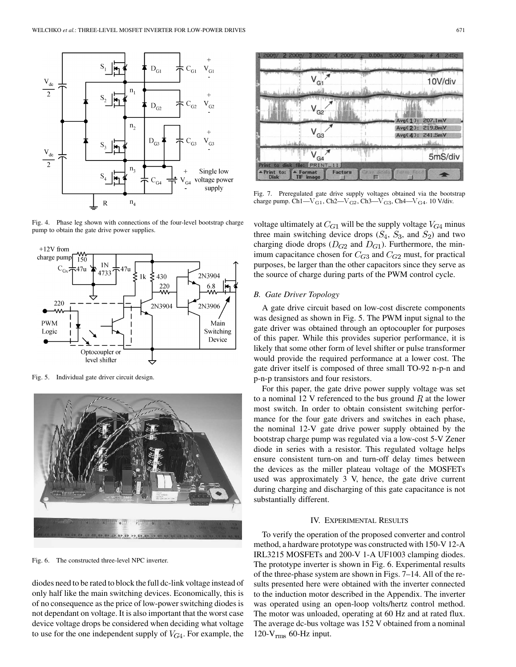

Fig. 4. Phase leg shown with connections of the four-level bootstrap charge pump to obtain the gate drive power supplies.



Fig. 5. Individual gate driver circuit design.



Fig. 6. The constructed three-level NPC inverter.

diodes need to be rated to block the full dc-link voltage instead of only half like the main switching devices. Economically, this is of no consequence as the price of low-power switching diodes is not dependant on voltage. It is also important that the worst case device voltage drops be considered when deciding what voltage to use for the one independent supply of  $V_{G4}$ . For example, the



Fig. 7. Preregulated gate drive supply voltages obtained via the bootstrap charge pump. Ch1—V $_{\rm G1}$ , Ch2—V $_{\rm G2}$ , Ch3—V $_{\rm G3}$ , Ch4—V $_{\rm G4}$ . 10 V/div.

voltage ultimately at  $C_{G1}$  will be the supply voltage  $V_{G4}$  minus three main switching device drops  $(S_4, S_3,$  and  $S_2)$  and two charging diode drops ( $D_{G2}$  and  $D_{G1}$ ). Furthermore, the minimum capacitance chosen for  $C_{G3}$  and  $C_{G2}$  must, for practical purposes, be larger than the other capacitors since they serve as the source of charge during parts of the PWM control cycle.

## *B. Gate Driver Topology*

A gate drive circuit based on low-cost discrete components was designed as shown in Fig. 5. The PWM input signal to the gate driver was obtained through an optocoupler for purposes of this paper. While this provides superior performance, it is likely that some other form of level shifter or pulse transformer would provide the required performance at a lower cost. The gate driver itself is composed of three small TO-92 n-p-n and p-n-p transistors and four resistors.

For this paper, the gate drive power supply voltage was set to a nominal 12 V referenced to the bus ground  $R$  at the lower most switch. In order to obtain consistent switching performance for the four gate drivers and switches in each phase, the nominal 12-V gate drive power supply obtained by the bootstrap charge pump was regulated via a low-cost 5-V Zener diode in series with a resistor. This regulated voltage helps ensure consistent turn-on and turn-off delay times between the devices as the miller plateau voltage of the MOSFETs used was approximately 3 V, hence, the gate drive current during charging and discharging of this gate capacitance is not substantially different.

#### IV. EXPERIMENTAL RESULTS

To verify the operation of the proposed converter and control method, a hardware prototype was constructed with 150-V 12-A IRL3215 MOSFETs and 200-V 1-A UF1003 clamping diodes. The prototype inverter is shown in Fig. 6. Experimental results of the three-phase system are shown in Figs. 7–14. All of the results presented here were obtained with the inverter connected to the induction motor described in the Appendix. The inverter was operated using an open-loop volts/hertz control method. The motor was unloaded, operating at 60 Hz and at rated flux. The average dc-bus voltage was 152 V obtained from a nominal 120- $V_{rms}$  60-Hz input.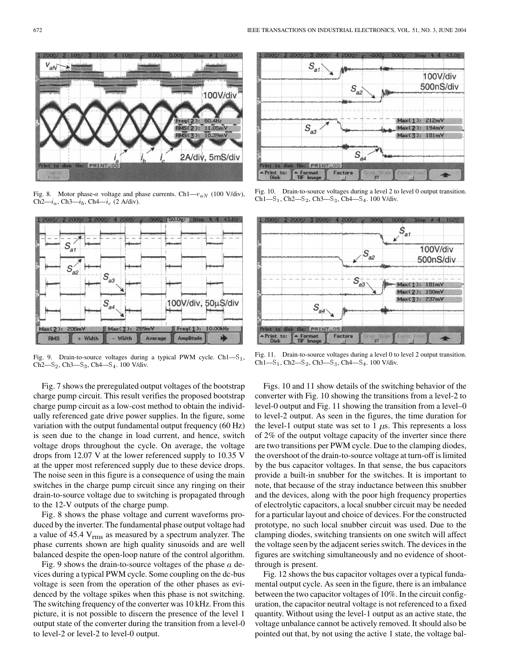

**PRINT\_00** 

100V/div

 $11.05<sub>m</sub>$ 

2A/div, 5mS/div

 $(S(2))$ :

 $S(3): 10.39m$ 



Fig. 9. Drain-to-source voltages during a typical PWM cycle.  $Ch1-S<sub>1</sub>$ ,  $Ch2-S_2$ ,  $Ch3-S_3$ ,  $Ch4-S_4$ . 100 V/div.

Fig. 7 shows the preregulated output voltages of the bootstrap charge pump circuit. This result verifies the proposed bootstrap charge pump circuit as a low-cost method to obtain the individually referenced gate drive power supplies. In the figure, some variation with the output fundamental output frequency (60 Hz) is seen due to the change in load current, and hence, switch voltage drops throughout the cycle. On average, the voltage drops from 12.07 V at the lower referenced supply to 10.35 V at the upper most referenced supply due to these device drops. The noise seen in this figure is a consequence of using the main switches in the charge pump circuit since any ringing on their drain-to-source voltage due to switching is propagated through to the 12-V outputs of the charge pump.

Fig. 8 shows the phase voltage and current waveforms produced by the inverter. The fundamental phase output voltage had a value of  $45.4$  V<sub>rms</sub> as measured by a spectrum analyzer. The phase currents shown are high quality sinusoids and are well balanced despite the open-loop nature of the control algorithm.

Fig. 9 shows the drain-to-source voltages of the phase  $a$  devices during a typical PWM cycle. Some coupling on the dc-bus voltage is seen from the operation of the other phases as evidenced by the voltage spikes when this phase is not switching. The switching frequency of the converter was 10 kHz. From this picture, it is not possible to discern the presence of the level 1 output state of the converter during the transition from a level-0 to level-2 or level-2 to level-0 output.



Fig. 10. Drain-to-source voltages during a level 2 to level 0 output transition.  $Ch1-S_1$ ,  $Ch2-S_2$ ,  $Ch3-S_3$ ,  $Ch4-S_4$ . 100 V/div.



Fig. 11. Drain-to-source voltages during a level 0 to level 2 output transition.  $Ch1-S_1$ ,  $Ch2-S_2$ ,  $Ch3-S_3$ ,  $Ch4-S_4$ . 100 V/div.

Figs. 10 and 11 show details of the switching behavior of the converter with Fig. 10 showing the transitions from a level-2 to level-0 output and Fig. 11 showing the transition from a level–0 to level-2 output. As seen in the figures, the time duration for the level-1 output state was set to 1  $\mu$ s. This represents a loss of 2% of the output voltage capacity of the inverter since there are two transitions per PWM cycle. Due to the clamping diodes, the overshoot of the drain-to-source voltage at turn-off is limited by the bus capacitor voltages. In that sense, the bus capacitors provide a built-in snubber for the switches. It is important to note, that because of the stray inductance between this snubber and the devices, along with the poor high frequency properties of electrolytic capacitors, a local snubber circuit may be needed for a particular layout and choice of devices. For the constructed prototype, no such local snubber circuit was used. Due to the clamping diodes, switching transients on one switch will affect the voltage seen by the adjacent series switch. The devices in the figures are switching simultaneously and no evidence of shootthrough is present.

Fig. 12 shows the bus capacitor voltages over a typical fundamental output cycle. As seen in the figure, there is an imbalance between the two capacitor voltages of 10%. In the circuit configuration, the capacitor neutral voltage is not referenced to a fixed quantity. Without using the level-1 output as an active state, the voltage unbalance cannot be actively removed. It should also be pointed out that, by not using the active 1 state, the voltage bal-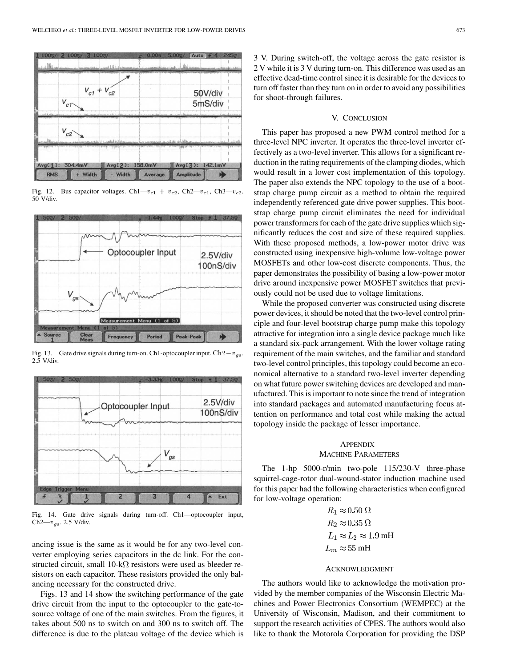

Fig. 12. Bus capacitor voltages. Ch1— $v_{c1} + v_{c2}$ , Ch2— $v_{c1}$ , Ch3— $v_{c2}$ .  $50$  V/div.



2.5 V/div.



Fig. 14. Gate drive signals during turn-off. Ch1—optocoupler input, Ch2— $v_{gs}$ . 2.5 V/div.

ancing issue is the same as it would be for any two-level converter employing series capacitors in the dc link. For the constructed circuit, small  $10-k\Omega$  resistors were used as bleeder resistors on each capacitor. These resistors provided the only balancing necessary for the constructed drive.

Figs. 13 and 14 show the switching performance of the gate drive circuit from the input to the optocoupler to the gate-tosource voltage of one of the main switches. From the figures, it takes about 500 ns to switch on and 300 ns to switch off. The difference is due to the plateau voltage of the device which is 3 V. During switch-off, the voltage across the gate resistor is 2 V while it is 3 V during turn-on. This difference was used as an effective dead-time control since it is desirable for the devices to turn off faster than they turn on in order to avoid any possibilities for shoot-through failures.

# V. CONCLUSION

This paper has proposed a new PWM control method for a three-level NPC inverter. It operates the three-level inverter effectively as a two-level inverter. This allows for a significant reduction in the rating requirements of the clamping diodes, which would result in a lower cost implementation of this topology. The paper also extends the NPC topology to the use of a bootstrap charge pump circuit as a method to obtain the required independently referenced gate drive power supplies. This bootstrap charge pump circuit eliminates the need for individual power transformers for each of the gate drive supplies which significantly reduces the cost and size of these required supplies. With these proposed methods, a low-power motor drive was constructed using inexpensive high-volume low-voltage power MOSFETs and other low-cost discrete components. Thus, the paper demonstrates the possibility of basing a low-power motor drive around inexpensive power MOSFET switches that previously could not be used due to voltage limitations.

While the proposed converter was constructed using discrete power devices, it should be noted that the two-level control principle and four-level bootstrap charge pump make this topology attractive for integration into a single device package much like a standard six-pack arrangement. With the lower voltage rating requirement of the main switches, and the familiar and standard two-level control principles, this topology could become an economical alternative to a standard two-level inverter depending on what future power switching devices are developed and manufactured. This is important to note since the trend of integration into standard packages and automated manufacturing focus attention on performance and total cost while making the actual topology inside the package of lesser importance.

# **APPENDIX** MACHINE PARAMETERS

The 1-hp 5000-r/min two-pole 115/230-V three-phase squirrel-cage-rotor dual-wound-stator induction machine used for this paper had the following characteristics when configured for low-voltage operation:

> $R_1 \approx 0.50 \Omega$  $R_2 \approx 0.35 \Omega$  $L_1 \approx L_2 \approx 1.9 \text{ mH}$  $L_m \approx 55 \text{ mH}$

# ACKNOWLEDGMENT

The authors would like to acknowledge the motivation provided by the member companies of the Wisconsin Electric Machines and Power Electronics Consortium (WEMPEC) at the University of Wisconsin, Madison, and their commitment to support the research activities of CPES. The authors would also like to thank the Motorola Corporation for providing the DSP